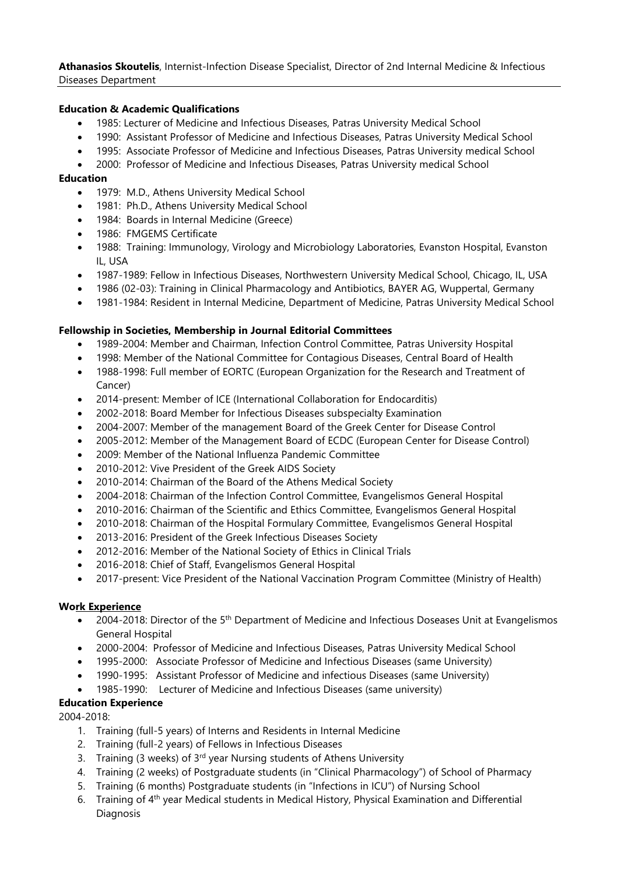**Athanasios Skoutelis**, Internist-Infection Disease Specialist, Director of 2nd Internal Medicine & Infectious Diseases Department

## **Education & Academic Qualifications**

- 1985: Lecturer of Medicine and Infectious Diseases, Patras University Medical School
- 1990: Assistant Professor of Medicine and Infectious Diseases, Patras University Medical School
- 1995: Associate Professor of Medicine and Infectious Diseases, Patras University medical School
- 2000: Professor of Medicine and Infectious Diseases, Patras University medical School

## **Education**

- 1979: M.D., Athens University Medical School
- 1981: Ph.D., Athens University Medical School
- 1984: Boards in Internal Medicine (Greece)
- 1986: FMGEMS Certificate
- 1988: Training: Immunology, Virology and Microbiology Laboratories, Evanston Hospital, Evanston IL, USA
- 1987-1989: Fellow in Infectious Diseases, Northwestern University Medical School, Chicago, IL, USA
- 1986 (02-03): Training in Clinical Pharmacology and Antibiotics, BAYER AG, Wuppertal, Germany
- 1981-1984: Resident in Internal Medicine, Department of Medicine, Patras University Medical School

### **Fellowship in Societies, Membership in Journal Editorial Committees**

- 1989-2004: Member and Chairman, Infection Control Committee, Patras University Hospital
- 1998: Member of the National Committee for Contagious Diseases, Central Board of Health
- 1988-1998: Full member of EORTC (European Organization for the Research and Treatment of Cancer)
- 2014-present: Member of ICE (International Collaboration for Endocarditis)
- 2002-2018: Board Member for Infectious Diseases subspecialty Examination
- 2004-2007: Member of the management Board of the Greek Center for Disease Control
- 2005-2012: Member of the Management Board of ECDC (European Center for Disease Control)
- 2009: Member of the National Influenza Pandemic Committee
- 2010-2012: Vive President of the Greek AIDS Society
- 2010-2014: Chairman of the Board of the Athens Medical Society
- 2004-2018: Chairman of the Infection Control Committee, Evangelismos General Hospital
- 2010-2016: Chairman of the Scientific and Ethics Committee, Evangelismos General Hospital
- 2010-2018: Chairman of the Hospital Formulary Committee, Evangelismos General Hospital
- 2013-2016: President of the Greek Infectious Diseases Society
- 2012-2016: Member of the National Society of Ethics in Clinical Trials
- 2016-2018: Chief of Staff, Evangelismos General Hospital
- 2017-present: Vice President of the National Vaccination Program Committee (Ministry of Health)

### **Work Experience**

- 2004-2018: Director of the 5<sup>th</sup> Department of Medicine and Infectious Doseases Unit at Evangelismos General Hospital
- 2000-2004: Professor of Medicine and Infectious Diseases, Patras University Medical School
- 1995-2000: Associate Professor of Medicine and Infectious Diseases (same University)
- 1990-1995: Assistant Professor of Medicine and infectious Diseases (same University)
- 1985-1990: Lecturer of Medicine and Infectious Diseases (same university)

# **Education Experience**

2004-2018:

- 1. Training (full-5 years) of Interns and Residents in Internal Medicine
- 2. Training (full-2 years) of Fellows in Infectious Diseases
- 3. Training (3 weeks) of 3<sup>rd</sup> year Nursing students of Athens University
- 4. Training (2 weeks) of Postgraduate students (in "Clinical Pharmacology") of School of Pharmacy
- 5. Training (6 months) Postgraduate students (in "Infections in ICU") of Nursing School
- 6. Training of 4th year Medical students in Medical History, Physical Examination and Differential Diagnosis